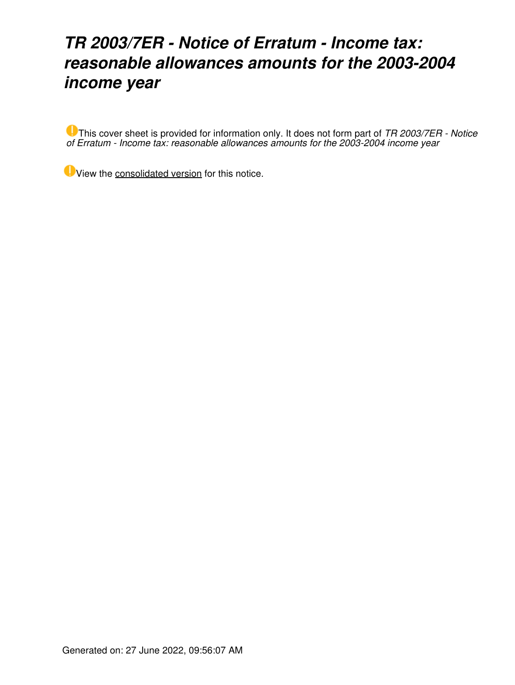## *TR 2003/7ER - Notice of Erratum - Income tax: reasonable allowances amounts for the 2003-2004 income year*

This cover sheet is provided for information only. It does not form part of *TR 2003/7ER - Notice of Erratum - Income tax: reasonable allowances amounts for the 2003-2004 income year*

View the [consolidated version](https://www.ato.gov.au/law/view/document?DocID=%22TXR%2FTR20037%2FNAT%2FATO%2F00001%22&PiT=20060621000001) for this notice.